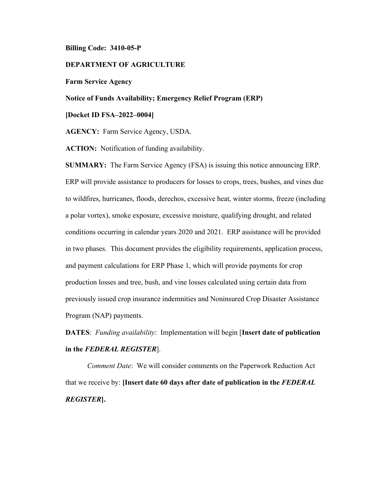## **Billing Code: 3410-05-P**

## **DEPARTMENT OF AGRICULTURE**

#### **Farm Service Agency**

## **Notice of Funds Availability; Emergency Relief Program (ERP)**

#### **[Docket ID FSA–2022–0004]**

**AGENCY:** Farm Service Agency, USDA.

**ACTION:** Notification of funding availability.

**SUMMARY:** The Farm Service Agency (FSA) is issuing this notice announcing ERP. ERP will provide assistance to producers for losses to crops, trees, bushes, and vines due to wildfires, hurricanes, floods, derechos, excessive heat, winter storms, freeze (including a polar vortex), smoke exposure, excessive moisture, qualifying drought, and related conditions occurring in calendar years 2020 and 2021. ERP assistance will be provided in two phases. This document provides the eligibility requirements, application process, and payment calculations for ERP Phase 1, which will provide payments for crop production losses and tree, bush, and vine losses calculated using certain data from previously issued crop insurance indemnities and Noninsured Crop Disaster Assistance Program (NAP) payments.

**DATES**: *Funding availability*: Implementation will begin [**Insert date of publication in the** *FEDERAL REGISTER*].

*Comment Date*: We will consider comments on the Paperwork Reduction Act that we receive by: **[Insert date 60 days after date of publication in the** *FEDERAL REGISTER***].**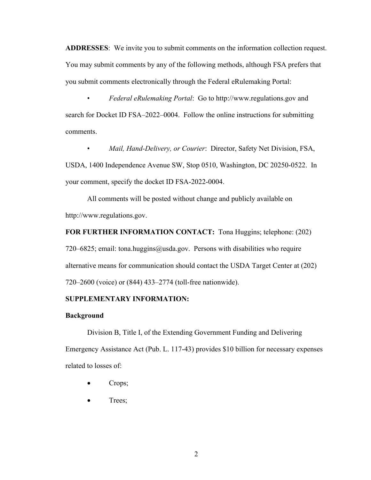**ADDRESSES**: We invite you to submit comments on the information collection request. You may submit comments by any of the following methods, although FSA prefers that you submit comments electronically through the Federal eRulemaking Portal:

• *Federal eRulemaking Portal*: Go to http://www.regulations.gov and search for Docket ID FSA–2022–0004. Follow the online instructions for submitting comments.

• *Mail, Hand-Delivery, or Courier*: Director, Safety Net Division, FSA, USDA, 1400 Independence Avenue SW, Stop 0510, Washington, DC 20250-0522. In your comment, specify the docket ID FSA-2022-0004.

All comments will be posted without change and publicly available on http://www.regulations.gov.

**FOR FURTHER INFORMATION CONTACT:** Tona Huggins; telephone: (202) 720–6825; email: tona.huggins@usda.gov. Persons with disabilities who require alternative means for communication should contact the USDA Target Center at (202) 720–2600 (voice) or (844) 433–2774 (toll-free nationwide).

## **SUPPLEMENTARY INFORMATION:**

### **Background**

Division B, Title I, of the Extending Government Funding and Delivering Emergency Assistance Act (Pub. L. 117-43) provides \$10 billion for necessary expenses related to losses of:

- Crops;
- Trees;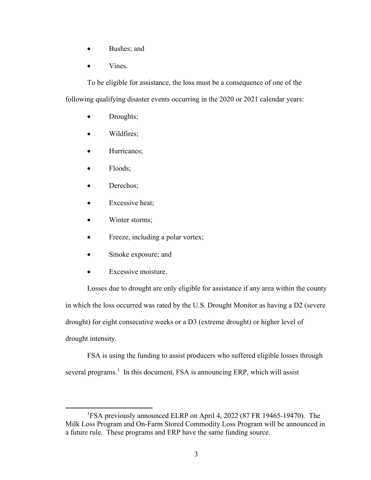- Bushes; and
- Vines.

To be eligible for assistance, the loss must be a consequence of one of the following qualifying disaster events occurring in the 2020 or 2021 calendar years:

- Droughts;
- Wildfires;
- Hurricanes;
- Floods;
- Derechos;
- Excessive heat;
- Winter storms;
- Freeze, including a polar vortex;
- Smoke exposure; and
- Excessive moisture.

Losses due to drought are only eligible for assistance if any area within the county in which the loss occurred was rated by the U.S. Drought Monitor as having a D2 (severe drought) for eight consecutive weeks or a D3 (extreme drought) or higher level of drought intensity.

FSA is using the funding to assist producers who suffered eligible losses through several programs.<sup>[1](#page-2-0)</sup> In this document, FSA is announcing ERP, which will assist

<span id="page-2-0"></span><sup>&</sup>lt;sup>1</sup>FSA previously announced ELRP on April 4, 2022 (87 FR 19465-19470). The Milk Loss Program and On-Farm Stored Commodity Loss Program will be announced in a future rule. These programs and ERP have the same funding source.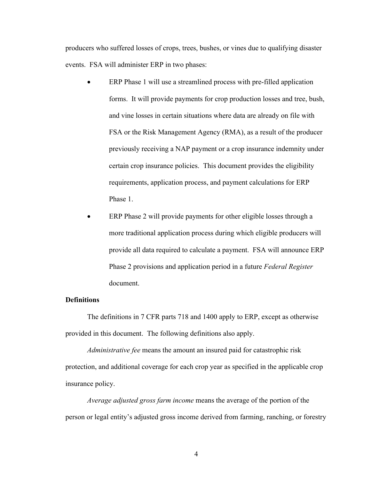producers who suffered losses of crops, trees, bushes, or vines due to qualifying disaster events. FSA will administer ERP in two phases:

- ERP Phase 1 will use a streamlined process with pre-filled application forms. It will provide payments for crop production losses and tree, bush, and vine losses in certain situations where data are already on file with FSA or the Risk Management Agency (RMA), as a result of the producer previously receiving a NAP payment or a crop insurance indemnity under certain crop insurance policies. This document provides the eligibility requirements, application process, and payment calculations for ERP Phase 1.
- ERP Phase 2 will provide payments for other eligible losses through a more traditional application process during which eligible producers will provide all data required to calculate a payment. FSA will announce ERP Phase 2 provisions and application period in a future *Federal Register* document.

# **Definitions**

The definitions in 7 CFR parts 718 and 1400 apply to ERP, except as otherwise provided in this document. The following definitions also apply.

*Administrative fee* means the amount an insured paid for catastrophic risk protection, and additional coverage for each crop year as specified in the applicable crop insurance policy.

*Average adjusted gross farm income* means the average of the portion of the person or legal entity's adjusted gross income derived from farming, ranching, or forestry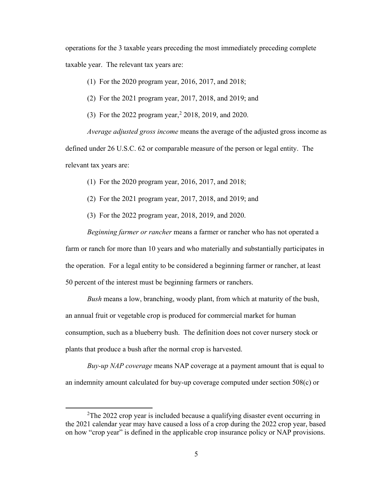operations for the 3 taxable years preceding the most immediately preceding complete taxable year. The relevant tax years are:

(1) For the 2020 program year, 2016, 2017, and 2018;

(2) For the 2021 program year, 2017, 2018, and 2019; and

(3) For the 2022 program year, [2](#page-4-0) 2018, 2019, and 2020.

*Average adjusted gross income* means the average of the adjusted gross income as defined under 26 U.S.C. 62 or comparable measure of the person or legal entity. The relevant tax years are:

(1) For the 2020 program year, 2016, 2017, and 2018;

(2) For the 2021 program year, 2017, 2018, and 2019; and

(3) For the 2022 program year, 2018, 2019, and 2020.

*Beginning farmer or rancher* means a farmer or rancher who has not operated a farm or ranch for more than 10 years and who materially and substantially participates in the operation. For a legal entity to be considered a beginning farmer or rancher, at least 50 percent of the interest must be beginning farmers or ranchers.

*Bush* means a low, branching, woody plant, from which at maturity of the bush, an annual fruit or vegetable crop is produced for commercial market for human consumption, such as a blueberry bush. The definition does not cover nursery stock or plants that produce a bush after the normal crop is harvested.

*Buy-up NAP coverage* means NAP coverage at a payment amount that is equal to an indemnity amount calculated for buy-up coverage computed under section 508(c) or

<span id="page-4-0"></span><sup>&</sup>lt;sup>2</sup>The 2022 crop year is included because a qualifying disaster event occurring in the 2021 calendar year may have caused a loss of a crop during the 2022 crop year, based on how "crop year" is defined in the applicable crop insurance policy or NAP provisions.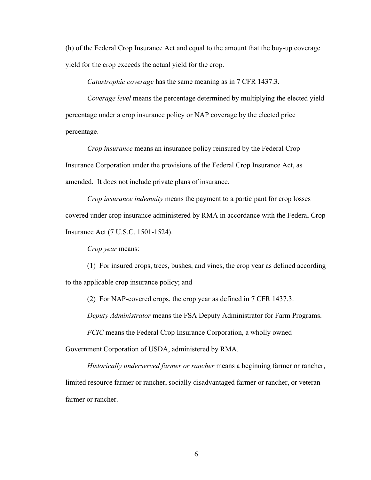(h) of the Federal Crop Insurance Act and equal to the amount that the buy-up coverage yield for the crop exceeds the actual yield for the crop.

*Catastrophic coverage* has the same meaning as in 7 CFR 1437.3.

*Coverage level* means the percentage determined by multiplying the elected yield percentage under a crop insurance policy or NAP coverage by the elected price percentage.

*Crop insurance* means an insurance policy reinsured by the Federal Crop Insurance Corporation under the provisions of the Federal Crop Insurance Act, as amended. It does not include private plans of insurance.

*Crop insurance indemnity* means the payment to a participant for crop losses covered under crop insurance administered by RMA in accordance with the Federal Crop Insurance Act (7 U.S.C. 1501-1524).

*Crop year* means:

(1) For insured crops, trees, bushes, and vines, the crop year as defined according to the applicable crop insurance policy; and

(2) For NAP-covered crops, the crop year as defined in 7 CFR 1437.3.

*Deputy Administrator* means the FSA Deputy Administrator for Farm Programs.

*FCIC* means the Federal Crop Insurance Corporation, a wholly owned

Government Corporation of USDA, administered by RMA.

*Historically underserved farmer or rancher* means a beginning farmer or rancher, limited resource farmer or rancher, socially disadvantaged farmer or rancher, or veteran farmer or rancher.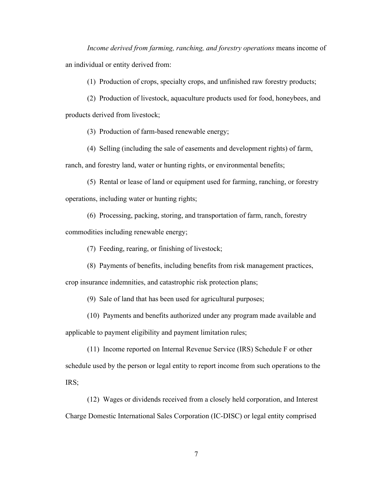*Income derived from farming, ranching, and forestry operations means income of* an individual or entity derived from:

(1) Production of crops, specialty crops, and unfinished raw forestry products;

(2) Production of livestock, aquaculture products used for food, honeybees, and products derived from livestock;

(3) Production of farm-based renewable energy;

(4) Selling (including the sale of easements and development rights) of farm,

ranch, and forestry land, water or hunting rights, or environmental benefits;

(5) Rental or lease of land or equipment used for farming, ranching, or forestry operations, including water or hunting rights;

(6) Processing, packing, storing, and transportation of farm, ranch, forestry

commodities including renewable energy;

(7) Feeding, rearing, or finishing of livestock;

(8) Payments of benefits, including benefits from risk management practices,

crop insurance indemnities, and catastrophic risk protection plans;

(9) Sale of land that has been used for agricultural purposes;

(10) Payments and benefits authorized under any program made available and applicable to payment eligibility and payment limitation rules;

(11) Income reported on Internal Revenue Service (IRS) Schedule F or other schedule used by the person or legal entity to report income from such operations to the IRS;

(12) Wages or dividends received from a closely held corporation, and Interest Charge Domestic International Sales Corporation (IC-DISC) or legal entity comprised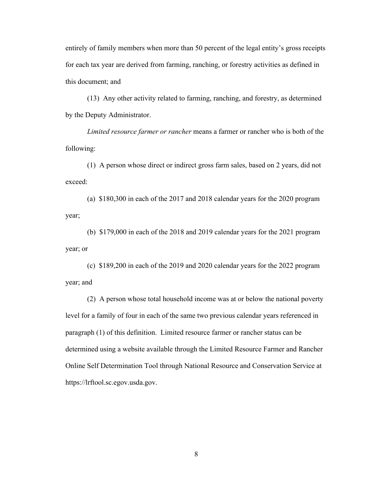entirely of family members when more than 50 percent of the legal entity's gross receipts for each tax year are derived from farming, ranching, or forestry activities as defined in this document; and

(13) Any other activity related to farming, ranching, and forestry, as determined by the Deputy Administrator.

*Limited resource farmer or rancher* means a farmer or rancher who is both of the following:

(1) A person whose direct or indirect gross farm sales, based on 2 years, did not exceed:

(a) \$180,300 in each of the 2017 and 2018 calendar years for the 2020 program year;

(b) \$179,000 in each of the 2018 and 2019 calendar years for the 2021 program year; or

(c) \$189,200 in each of the 2019 and 2020 calendar years for the 2022 program year; and

(2) A person whose total household income was at or below the national poverty level for a family of four in each of the same two previous calendar years referenced in paragraph (1) of this definition. Limited resource farmer or rancher status can be determined using a website available through the Limited Resource Farmer and Rancher Online Self Determination Tool through National Resource and Conservation Service at https://lrftool.sc.egov.usda.gov.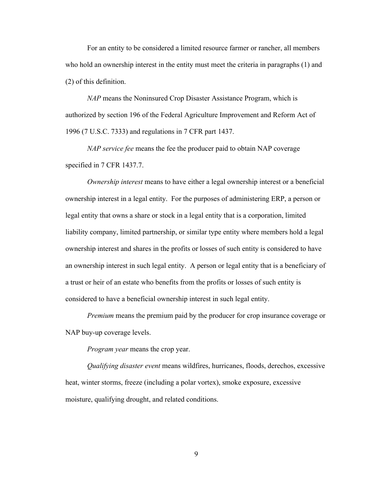For an entity to be considered a limited resource farmer or rancher, all members who hold an ownership interest in the entity must meet the criteria in paragraphs (1) and (2) of this definition.

*NAP* means the Noninsured Crop Disaster Assistance Program, which is authorized by section 196 of the Federal Agriculture Improvement and Reform Act of 1996 (7 U.S.C. 7333) and regulations in 7 CFR part 1437.

*NAP service fee* means the fee the producer paid to obtain NAP coverage specified in 7 CFR 1437.7.

*Ownership interest* means to have either a legal ownership interest or a beneficial ownership interest in a legal entity. For the purposes of administering ERP, a person or legal entity that owns a share or stock in a legal entity that is a corporation, limited liability company, limited partnership, or similar type entity where members hold a legal ownership interest and shares in the profits or losses of such entity is considered to have an ownership interest in such legal entity. A person or legal entity that is a beneficiary of a trust or heir of an estate who benefits from the profits or losses of such entity is considered to have a beneficial ownership interest in such legal entity.

*Premium* means the premium paid by the producer for crop insurance coverage or NAP buy-up coverage levels.

*Program year* means the crop year.

*Qualifying disaster event* means wildfires, hurricanes, floods, derechos, excessive heat, winter storms, freeze (including a polar vortex), smoke exposure, excessive moisture, qualifying drought, and related conditions.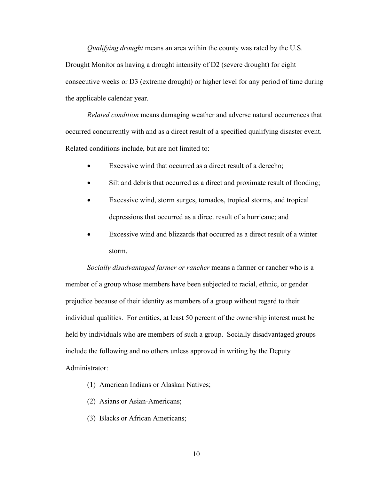*Qualifying drought* means an area within the county was rated by the U.S. Drought Monitor as having a drought intensity of D2 (severe drought) for eight consecutive weeks or D3 (extreme drought) or higher level for any period of time during the applicable calendar year.

*Related condition* means damaging weather and adverse natural occurrences that occurred concurrently with and as a direct result of a specified qualifying disaster event. Related conditions include, but are not limited to:

- Excessive wind that occurred as a direct result of a derecho;
- Silt and debris that occurred as a direct and proximate result of flooding;
- Excessive wind, storm surges, tornados, tropical storms, and tropical depressions that occurred as a direct result of a hurricane; and
- Excessive wind and blizzards that occurred as a direct result of a winter storm.

*Socially disadvantaged farmer or rancher* means a farmer or rancher who is a member of a group whose members have been subjected to racial, ethnic, or gender prejudice because of their identity as members of a group without regard to their individual qualities. For entities, at least 50 percent of the ownership interest must be held by individuals who are members of such a group. Socially disadvantaged groups include the following and no others unless approved in writing by the Deputy Administrator:

- (1) American Indians or Alaskan Natives;
- (2) Asians or Asian-Americans;
- (3) Blacks or African Americans;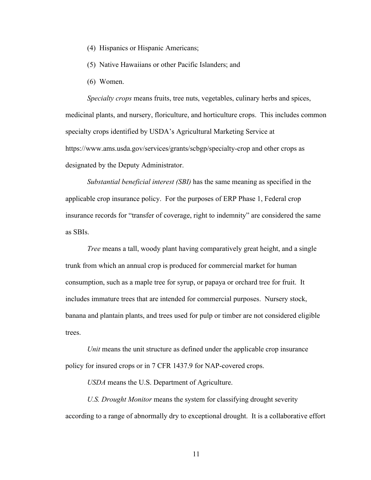- (4) Hispanics or Hispanic Americans;
- (5) Native Hawaiians or other Pacific Islanders; and
- (6) Women.

*Specialty crops* means fruits, tree nuts, vegetables, culinary herbs and spices, medicinal plants, and nursery, floriculture, and horticulture crops. This includes common specialty crops identified by USDA's Agricultural Marketing Service at https://www.ams.usda.gov/services/grants/scbgp/specialty-crop and other crops as designated by the Deputy Administrator.

*Substantial beneficial interest (SBI)* has the same meaning as specified in the applicable crop insurance policy. For the purposes of ERP Phase 1, Federal crop insurance records for "transfer of coverage, right to indemnity" are considered the same as SBIs.

*Tree* means a tall, woody plant having comparatively great height, and a single trunk from which an annual crop is produced for commercial market for human consumption, such as a maple tree for syrup, or papaya or orchard tree for fruit. It includes immature trees that are intended for commercial purposes. Nursery stock, banana and plantain plants, and trees used for pulp or timber are not considered eligible trees.

*Unit* means the unit structure as defined under the applicable crop insurance policy for insured crops or in 7 CFR 1437.9 for NAP-covered crops.

*USDA* means the U.S. Department of Agriculture.

*U.S. Drought Monitor* means the system for classifying drought severity according to a range of abnormally dry to exceptional drought. It is a collaborative effort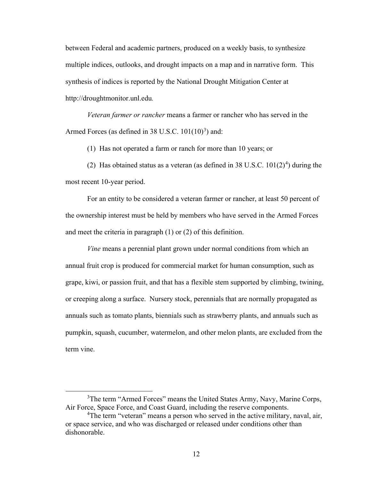between Federal and academic partners, produced on a weekly basis, to synthesize multiple indices, outlooks, and drought impacts on a map and in narrative form. This synthesis of indices is reported by the National Drought Mitigation Center at http://droughtmonitor.unl.edu*.*

*Veteran farmer or rancher* means a farmer or rancher who has served in the Armed Forces (as defined in [3](#page-11-0)8 U.S.C.  $101(10)^3$ ) and:

(1) Has not operated a farm or ranch for more than 10 years; or

(2) Has obtained status as a veteran (as defined in 38 U.S.C.  $101(2)^4$  $101(2)^4$ ) during the most recent 10-year period.

For an entity to be considered a veteran farmer or rancher, at least 50 percent of the ownership interest must be held by members who have served in the Armed Forces and meet the criteria in paragraph (1) or (2) of this definition.

*Vine* means a perennial plant grown under normal conditions from which an annual fruit crop is produced for commercial market for human consumption, such as grape, kiwi, or passion fruit, and that has a flexible stem supported by climbing, twining, or creeping along a surface. Nursery stock, perennials that are normally propagated as annuals such as tomato plants, biennials such as strawberry plants, and annuals such as pumpkin, squash, cucumber, watermelon, and other melon plants, are excluded from the term vine.

<span id="page-11-0"></span><sup>&</sup>lt;sup>3</sup>The term "Armed Forces" means the United States Army, Navy, Marine Corps, Air Force, Space Force, and Coast Guard, including the reserve components.

<span id="page-11-1"></span><sup>&</sup>lt;sup>4</sup>The term "veteran" means a person who served in the active military, naval, air, or space service, and who was discharged or released under conditions other than dishonorable.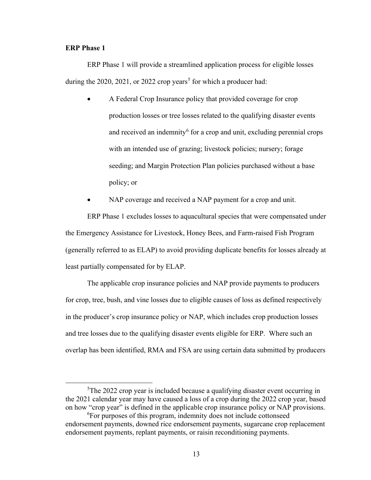## **ERP Phase 1**

ERP Phase 1 will provide a streamlined application process for eligible losses during the 2020, 2021, or 2022 crop years<sup>[5](#page-12-0)</sup> for which a producer had:

- A Federal Crop Insurance policy that provided coverage for crop production losses or tree losses related to the qualifying disaster events and received an indemnity<sup> $6$ </sup> for a crop and unit, excluding perennial crops with an intended use of grazing; livestock policies; nursery; forage seeding; and Margin Protection Plan policies purchased without a base policy; or
- NAP coverage and received a NAP payment for a crop and unit.

ERP Phase 1 excludes losses to aquacultural species that were compensated under the Emergency Assistance for Livestock, Honey Bees, and Farm-raised Fish Program (generally referred to as ELAP) to avoid providing duplicate benefits for losses already at least partially compensated for by ELAP.

The applicable crop insurance policies and NAP provide payments to producers for crop, tree, bush, and vine losses due to eligible causes of loss as defined respectively in the producer's crop insurance policy or NAP, which includes crop production losses and tree losses due to the qualifying disaster events eligible for ERP. Where such an overlap has been identified, RMA and FSA are using certain data submitted by producers

<span id="page-12-0"></span><sup>&</sup>lt;sup>5</sup>The 2022 crop year is included because a qualifying disaster event occurring in the 2021 calendar year may have caused a loss of a crop during the 2022 crop year, based on how "crop year" is defined in the applicable crop insurance policy or NAP provisions.

<span id="page-12-1"></span><sup>&</sup>lt;sup>6</sup>For purposes of this program, indemnity does not include cottonseed endorsement payments, downed rice endorsement payments, sugarcane crop replacement endorsement payments, replant payments, or raisin reconditioning payments.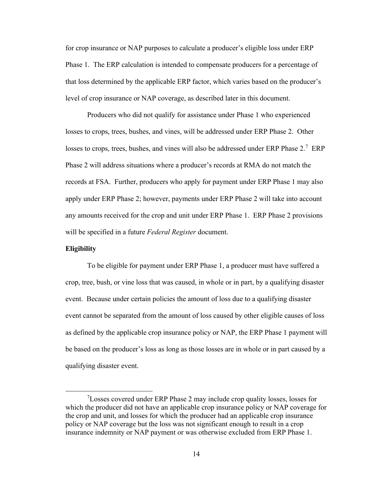for crop insurance or NAP purposes to calculate a producer's eligible loss under ERP Phase 1. The ERP calculation is intended to compensate producers for a percentage of that loss determined by the applicable ERP factor, which varies based on the producer's level of crop insurance or NAP coverage, as described later in this document.

Producers who did not qualify for assistance under Phase 1 who experienced losses to crops, trees, bushes, and vines, will be addressed under ERP Phase 2. Other losses to crops, trees, bushes, and vines will also be addressed under ERP Phase 2.<sup>[7](#page-13-0)</sup> ERP Phase 2 will address situations where a producer's records at RMA do not match the records at FSA. Further, producers who apply for payment under ERP Phase 1 may also apply under ERP Phase 2; however, payments under ERP Phase 2 will take into account any amounts received for the crop and unit under ERP Phase 1. ERP Phase 2 provisions will be specified in a future *Federal Register* document.

### **Eligibility**

To be eligible for payment under ERP Phase 1, a producer must have suffered a crop, tree, bush, or vine loss that was caused, in whole or in part, by a qualifying disaster event. Because under certain policies the amount of loss due to a qualifying disaster event cannot be separated from the amount of loss caused by other eligible causes of loss as defined by the applicable crop insurance policy or NAP, the ERP Phase 1 payment will be based on the producer's loss as long as those losses are in whole or in part caused by a qualifying disaster event.

<span id="page-13-0"></span><sup>&</sup>lt;sup>7</sup>Losses covered under ERP Phase 2 may include crop quality losses, losses for which the producer did not have an applicable crop insurance policy or NAP coverage for the crop and unit, and losses for which the producer had an applicable crop insurance policy or NAP coverage but the loss was not significant enough to result in a crop insurance indemnity or NAP payment or was otherwise excluded from ERP Phase 1.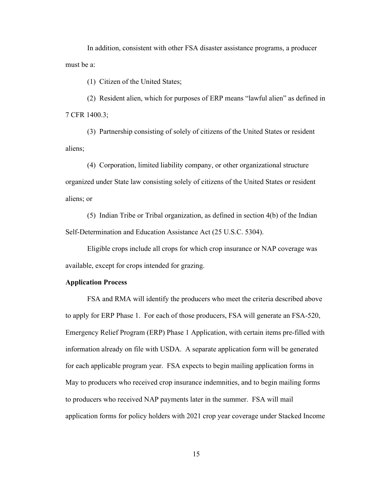In addition, consistent with other FSA disaster assistance programs, a producer must be a:

(1) Citizen of the United States;

(2) Resident alien, which for purposes of ERP means "lawful alien" as defined in 7 CFR 1400.3;

(3) Partnership consisting of solely of citizens of the United States or resident aliens;

(4) Corporation, limited liability company, or other organizational structure organized under State law consisting solely of citizens of the United States or resident aliens; or

(5) Indian Tribe or Tribal organization, as defined in section 4(b) of the Indian Self-Determination and Education Assistance Act (25 U.S.C. 5304).

Eligible crops include all crops for which crop insurance or NAP coverage was available, except for crops intended for grazing.

## **Application Process**

FSA and RMA will identify the producers who meet the criteria described above to apply for ERP Phase 1. For each of those producers, FSA will generate an FSA-520, Emergency Relief Program (ERP) Phase 1 Application, with certain items pre-filled with information already on file with USDA. A separate application form will be generated for each applicable program year. FSA expects to begin mailing application forms in May to producers who received crop insurance indemnities, and to begin mailing forms to producers who received NAP payments later in the summer. FSA will mail application forms for policy holders with 2021 crop year coverage under Stacked Income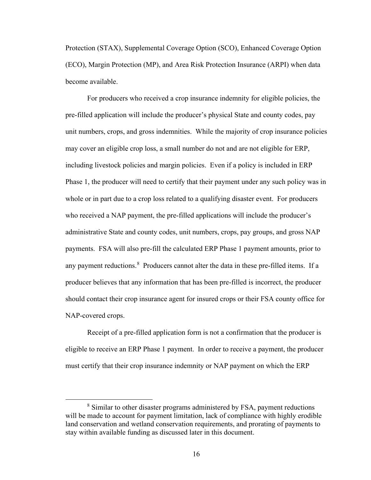Protection (STAX), Supplemental Coverage Option (SCO), Enhanced Coverage Option (ECO), Margin Protection (MP), and Area Risk Protection Insurance (ARPI) when data become available.

For producers who received a crop insurance indemnity for eligible policies, the pre-filled application will include the producer's physical State and county codes, pay unit numbers, crops, and gross indemnities. While the majority of crop insurance policies may cover an eligible crop loss, a small number do not and are not eligible for ERP, including livestock policies and margin policies. Even if a policy is included in ERP Phase 1, the producer will need to certify that their payment under any such policy was in whole or in part due to a crop loss related to a qualifying disaster event. For producers who received a NAP payment, the pre-filled applications will include the producer's administrative State and county codes, unit numbers, crops, pay groups, and gross NAP payments. FSA will also pre-fill the calculated ERP Phase 1 payment amounts, prior to any payment reductions.  $8$  Producers cannot alter the data in these pre-filled items. If a producer believes that any information that has been pre-filled is incorrect, the producer should contact their crop insurance agent for insured crops or their FSA county office for NAP-covered crops.

Receipt of a pre-filled application form is not a confirmation that the producer is eligible to receive an ERP Phase 1 payment. In order to receive a payment, the producer must certify that their crop insurance indemnity or NAP payment on which the ERP

<span id="page-15-0"></span><sup>&</sup>lt;sup>8</sup> Similar to other disaster programs administered by FSA, payment reductions will be made to account for payment limitation, lack of compliance with highly erodible land conservation and wetland conservation requirements, and prorating of payments to stay within available funding as discussed later in this document.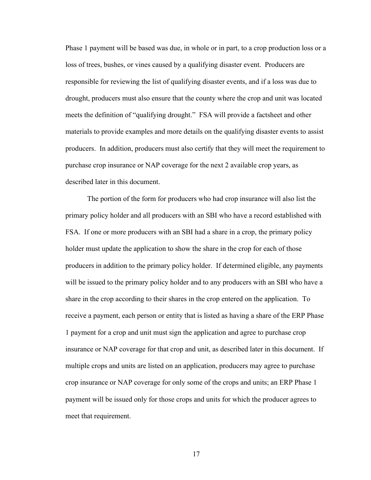Phase 1 payment will be based was due, in whole or in part, to a crop production loss or a loss of trees, bushes, or vines caused by a qualifying disaster event. Producers are responsible for reviewing the list of qualifying disaster events, and if a loss was due to drought, producers must also ensure that the county where the crop and unit was located meets the definition of "qualifying drought." FSA will provide a factsheet and other materials to provide examples and more details on the qualifying disaster events to assist producers. In addition, producers must also certify that they will meet the requirement to purchase crop insurance or NAP coverage for the next 2 available crop years, as described later in this document.

The portion of the form for producers who had crop insurance will also list the primary policy holder and all producers with an SBI who have a record established with FSA. If one or more producers with an SBI had a share in a crop, the primary policy holder must update the application to show the share in the crop for each of those producers in addition to the primary policy holder. If determined eligible, any payments will be issued to the primary policy holder and to any producers with an SBI who have a share in the crop according to their shares in the crop entered on the application. To receive a payment, each person or entity that is listed as having a share of the ERP Phase 1 payment for a crop and unit must sign the application and agree to purchase crop insurance or NAP coverage for that crop and unit, as described later in this document. If multiple crops and units are listed on an application, producers may agree to purchase crop insurance or NAP coverage for only some of the crops and units; an ERP Phase 1 payment will be issued only for those crops and units for which the producer agrees to meet that requirement.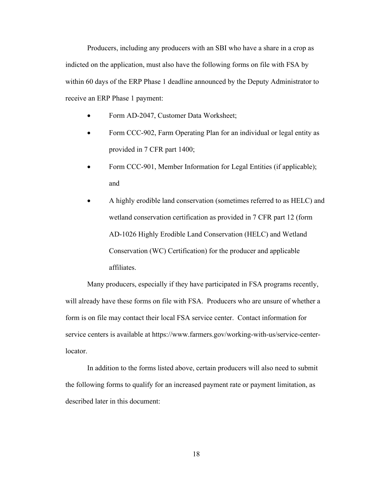Producers, including any producers with an SBI who have a share in a crop as indicted on the application, must also have the following forms on file with FSA by within 60 days of the ERP Phase 1 deadline announced by the Deputy Administrator to receive an ERP Phase 1 payment:

- Form AD-2047, Customer Data Worksheet;
- Form CCC-902, Farm Operating Plan for an individual or legal entity as provided in 7 CFR part 1400;
- Form CCC-901, Member Information for Legal Entities (if applicable); and
- A highly erodible land conservation (sometimes referred to as HELC) and wetland conservation certification as provided in 7 CFR part 12 (form AD-1026 Highly Erodible Land Conservation (HELC) and Wetland Conservation (WC) Certification) for the producer and applicable affiliates.

Many producers, especially if they have participated in FSA programs recently, will already have these forms on file with FSA. Producers who are unsure of whether a form is on file may contact their local FSA service center. Contact information for service centers is available at https://www.farmers.gov/working-with-us/service-centerlocator.

In addition to the forms listed above, certain producers will also need to submit the following forms to qualify for an increased payment rate or payment limitation, as described later in this document: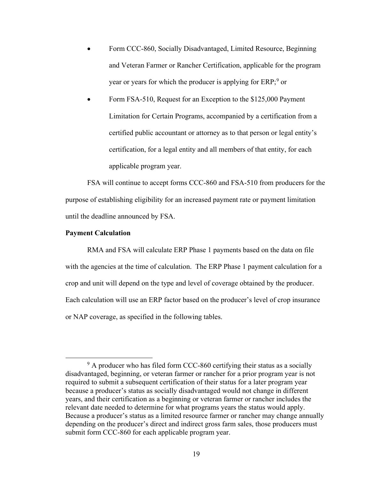- Form CCC-860, Socially Disadvantaged, Limited Resource, Beginning and Veteran Farmer or Rancher Certification, applicable for the program year or years for which the producer is applying for ERP;<sup>[9](#page-18-0)</sup> or
- Form FSA-510, Request for an Exception to the \$125,000 Payment Limitation for Certain Programs, accompanied by a certification from a certified public accountant or attorney as to that person or legal entity's certification, for a legal entity and all members of that entity, for each applicable program year.

FSA will continue to accept forms CCC-860 and FSA-510 from producers for the purpose of establishing eligibility for an increased payment rate or payment limitation until the deadline announced by FSA.

## **Payment Calculation**

RMA and FSA will calculate ERP Phase 1 payments based on the data on file with the agencies at the time of calculation. The ERP Phase 1 payment calculation for a crop and unit will depend on the type and level of coverage obtained by the producer. Each calculation will use an ERP factor based on the producer's level of crop insurance or NAP coverage, as specified in the following tables.

<span id="page-18-0"></span><sup>&</sup>lt;sup>9</sup> A producer who has filed form CCC-860 certifying their status as a socially disadvantaged, beginning, or veteran farmer or rancher for a prior program year is not required to submit a subsequent certification of their status for a later program year because a producer's status as socially disadvantaged would not change in different years, and their certification as a beginning or veteran farmer or rancher includes the relevant date needed to determine for what programs years the status would apply. Because a producer's status as a limited resource farmer or rancher may change annually depending on the producer's direct and indirect gross farm sales, those producers must submit form CCC-860 for each applicable program year.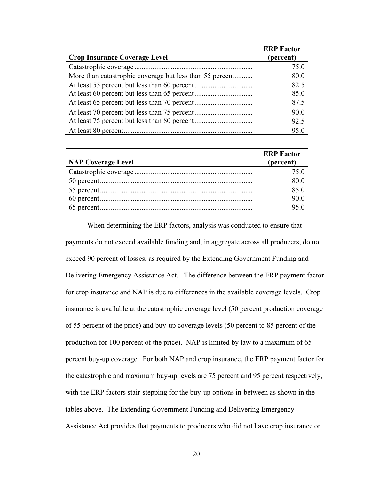| <b>Crop Insurance Coverage Level</b>                     | <b>ERP Factor</b><br>(percent) |
|----------------------------------------------------------|--------------------------------|
|                                                          | 75.0                           |
| More than catastrophic coverage but less than 55 percent | 80.0                           |
|                                                          | 82.5                           |
|                                                          | 85.0                           |
|                                                          | 87.5                           |
|                                                          | 90.0                           |
|                                                          | 92.5                           |
|                                                          | 95.0                           |

| <b>NAP Coverage Level</b> | <b>ERP Factor</b><br>(percent) |
|---------------------------|--------------------------------|
|                           | 75.0                           |
|                           | 80.0                           |
|                           | 85.0                           |
|                           | 90.0                           |
|                           | 95.0                           |

When determining the ERP factors, analysis was conducted to ensure that payments do not exceed available funding and, in aggregate across all producers, do not exceed 90 percent of losses, as required by the Extending Government Funding and Delivering Emergency Assistance Act. The difference between the ERP payment factor for crop insurance and NAP is due to differences in the available coverage levels. Crop insurance is available at the catastrophic coverage level (50 percent production coverage of 55 percent of the price) and buy-up coverage levels (50 percent to 85 percent of the production for 100 percent of the price). NAP is limited by law to a maximum of 65 percent buy-up coverage. For both NAP and crop insurance, the ERP payment factor for the catastrophic and maximum buy-up levels are 75 percent and 95 percent respectively, with the ERP factors stair-stepping for the buy-up options in-between as shown in the tables above. The Extending Government Funding and Delivering Emergency Assistance Act provides that payments to producers who did not have crop insurance or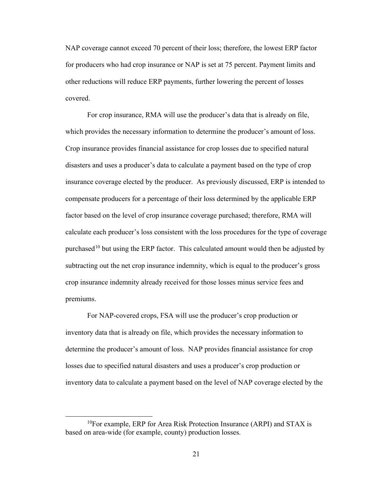NAP coverage cannot exceed 70 percent of their loss; therefore, the lowest ERP factor for producers who had crop insurance or NAP is set at 75 percent. Payment limits and other reductions will reduce ERP payments, further lowering the percent of losses covered.

For crop insurance, RMA will use the producer's data that is already on file, which provides the necessary information to determine the producer's amount of loss. Crop insurance provides financial assistance for crop losses due to specified natural disasters and uses a producer's data to calculate a payment based on the type of crop insurance coverage elected by the producer. As previously discussed, ERP is intended to compensate producers for a percentage of their loss determined by the applicable ERP factor based on the level of crop insurance coverage purchased; therefore, RMA will calculate each producer's loss consistent with the loss procedures for the type of coverage purchased<sup>[10](#page-20-0)</sup> but using the ERP factor. This calculated amount would then be adjusted by subtracting out the net crop insurance indemnity, which is equal to the producer's gross crop insurance indemnity already received for those losses minus service fees and premiums.

For NAP-covered crops, FSA will use the producer's crop production or inventory data that is already on file, which provides the necessary information to determine the producer's amount of loss. NAP provides financial assistance for crop losses due to specified natural disasters and uses a producer's crop production or inventory data to calculate a payment based on the level of NAP coverage elected by the

<span id="page-20-0"></span> $10$ For example, ERP for Area Risk Protection Insurance (ARPI) and STAX is based on area-wide (for example, county) production losses.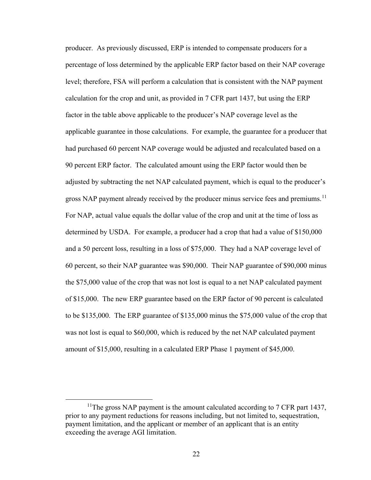producer. As previously discussed, ERP is intended to compensate producers for a percentage of loss determined by the applicable ERP factor based on their NAP coverage level; therefore, FSA will perform a calculation that is consistent with the NAP payment calculation for the crop and unit, as provided in 7 CFR part 1437, but using the ERP factor in the table above applicable to the producer's NAP coverage level as the applicable guarantee in those calculations. For example, the guarantee for a producer that had purchased 60 percent NAP coverage would be adjusted and recalculated based on a 90 percent ERP factor. The calculated amount using the ERP factor would then be adjusted by subtracting the net NAP calculated payment, which is equal to the producer's gross NAP payment already received by the producer minus service fees and premiums.<sup>[11](#page-21-0)</sup> For NAP, actual value equals the dollar value of the crop and unit at the time of loss as determined by USDA. For example, a producer had a crop that had a value of \$150,000 and a 50 percent loss, resulting in a loss of \$75,000. They had a NAP coverage level of 60 percent, so their NAP guarantee was \$90,000. Their NAP guarantee of \$90,000 minus the \$75,000 value of the crop that was not lost is equal to a net NAP calculated payment of \$15,000. The new ERP guarantee based on the ERP factor of 90 percent is calculated to be \$135,000. The ERP guarantee of \$135,000 minus the \$75,000 value of the crop that was not lost is equal to \$60,000, which is reduced by the net NAP calculated payment amount of \$15,000, resulting in a calculated ERP Phase 1 payment of \$45,000.

<span id="page-21-0"></span><sup>&</sup>lt;sup>11</sup>The gross NAP payment is the amount calculated according to  $7$  CFR part 1437, prior to any payment reductions for reasons including, but not limited to, sequestration, payment limitation, and the applicant or member of an applicant that is an entity exceeding the average AGI limitation.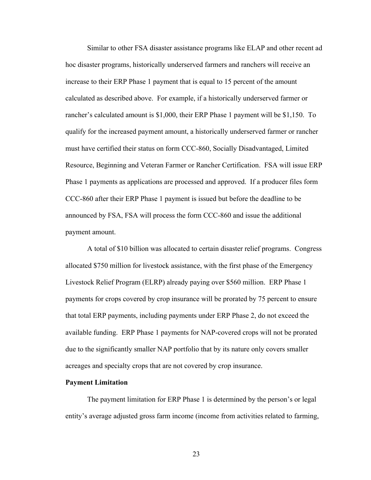Similar to other FSA disaster assistance programs like ELAP and other recent ad hoc disaster programs, historically underserved farmers and ranchers will receive an increase to their ERP Phase 1 payment that is equal to 15 percent of the amount calculated as described above. For example, if a historically underserved farmer or rancher's calculated amount is \$1,000, their ERP Phase 1 payment will be \$1,150. To qualify for the increased payment amount, a historically underserved farmer or rancher must have certified their status on form CCC-860, Socially Disadvantaged, Limited Resource, Beginning and Veteran Farmer or Rancher Certification. FSA will issue ERP Phase 1 payments as applications are processed and approved. If a producer files form CCC-860 after their ERP Phase 1 payment is issued but before the deadline to be announced by FSA, FSA will process the form CCC-860 and issue the additional payment amount.

A total of \$10 billion was allocated to certain disaster relief programs. Congress allocated \$750 million for livestock assistance, with the first phase of the Emergency Livestock Relief Program (ELRP) already paying over \$560 million. ERP Phase 1 payments for crops covered by crop insurance will be prorated by 75 percent to ensure that total ERP payments, including payments under ERP Phase 2, do not exceed the available funding. ERP Phase 1 payments for NAP-covered crops will not be prorated due to the significantly smaller NAP portfolio that by its nature only covers smaller acreages and specialty crops that are not covered by crop insurance.

### **Payment Limitation**

The payment limitation for ERP Phase 1 is determined by the person's or legal entity's average adjusted gross farm income (income from activities related to farming,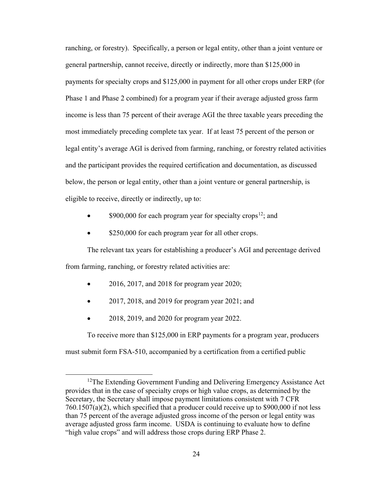ranching, or forestry). Specifically, a person or legal entity, other than a joint venture or general partnership, cannot receive, directly or indirectly, more than \$125,000 in payments for specialty crops and \$125,000 in payment for all other crops under ERP (for Phase 1 and Phase 2 combined) for a program year if their average adjusted gross farm income is less than 75 percent of their average AGI the three taxable years preceding the most immediately preceding complete tax year. If at least 75 percent of the person or legal entity's average AGI is derived from farming, ranching, or forestry related activities and the participant provides the required certification and documentation, as discussed below, the person or legal entity, other than a joint venture or general partnership, is eligible to receive, directly or indirectly, up to:

- \$900,000 for each program year for specialty crops<sup>[12](#page-23-0)</sup>; and
- \$250,000 for each program year for all other crops.

The relevant tax years for establishing a producer's AGI and percentage derived from farming, ranching, or forestry related activities are:

- 2016, 2017, and 2018 for program year 2020;
- 2017, 2018, and 2019 for program year 2021; and
- 2018, 2019, and 2020 for program year 2022.

To receive more than \$125,000 in ERP payments for a program year, producers must submit form FSA-510, accompanied by a certification from a certified public

<span id="page-23-0"></span> $12$ The Extending Government Funding and Delivering Emergency Assistance Act provides that in the case of specialty crops or high value crops, as determined by the Secretary, the Secretary shall impose payment limitations consistent with 7 CFR 760.1507(a)(2), which specified that a producer could receive up to \$900,000 if not less than 75 percent of the average adjusted gross income of the person or legal entity was average adjusted gross farm income. USDA is continuing to evaluate how to define "high value crops" and will address those crops during ERP Phase 2.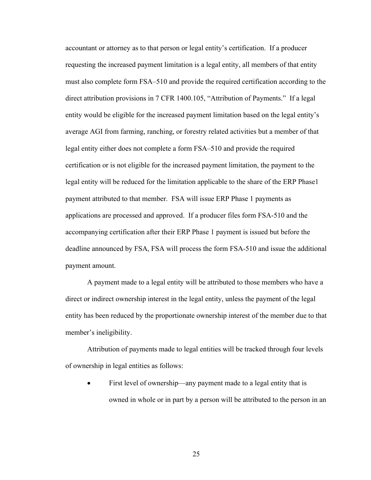accountant or attorney as to that person or legal entity's certification. If a producer requesting the increased payment limitation is a legal entity, all members of that entity must also complete form FSA–510 and provide the required certification according to the direct attribution provisions in 7 CFR 1400.105, "Attribution of Payments." If a legal entity would be eligible for the increased payment limitation based on the legal entity's average AGI from farming, ranching, or forestry related activities but a member of that legal entity either does not complete a form FSA–510 and provide the required certification or is not eligible for the increased payment limitation, the payment to the legal entity will be reduced for the limitation applicable to the share of the ERP Phase1 payment attributed to that member. FSA will issue ERP Phase 1 payments as applications are processed and approved. If a producer files form FSA-510 and the accompanying certification after their ERP Phase 1 payment is issued but before the deadline announced by FSA, FSA will process the form FSA-510 and issue the additional payment amount.

A payment made to a legal entity will be attributed to those members who have a direct or indirect ownership interest in the legal entity, unless the payment of the legal entity has been reduced by the proportionate ownership interest of the member due to that member's ineligibility.

Attribution of payments made to legal entities will be tracked through four levels of ownership in legal entities as follows:

First level of ownership—any payment made to a legal entity that is owned in whole or in part by a person will be attributed to the person in an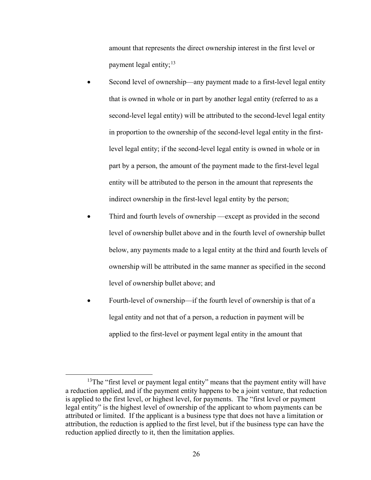amount that represents the direct ownership interest in the first level or payment legal entity;  $13$ 

- Second level of ownership—any payment made to a first-level legal entity that is owned in whole or in part by another legal entity (referred to as a second-level legal entity) will be attributed to the second-level legal entity in proportion to the ownership of the second-level legal entity in the firstlevel legal entity; if the second-level legal entity is owned in whole or in part by a person, the amount of the payment made to the first-level legal entity will be attributed to the person in the amount that represents the indirect ownership in the first-level legal entity by the person;
- Third and fourth levels of ownership —except as provided in the second level of ownership bullet above and in the fourth level of ownership bullet below, any payments made to a legal entity at the third and fourth levels of ownership will be attributed in the same manner as specified in the second level of ownership bullet above; and
- Fourth-level of ownership—if the fourth level of ownership is that of a legal entity and not that of a person, a reduction in payment will be applied to the first-level or payment legal entity in the amount that

<span id="page-25-0"></span> $13$ The "first level or payment legal entity" means that the payment entity will have a reduction applied, and if the payment entity happens to be a joint venture, that reduction is applied to the first level, or highest level, for payments. The "first level or payment legal entity" is the highest level of ownership of the applicant to whom payments can be attributed or limited. If the applicant is a business type that does not have a limitation or attribution, the reduction is applied to the first level, but if the business type can have the reduction applied directly to it, then the limitation applies.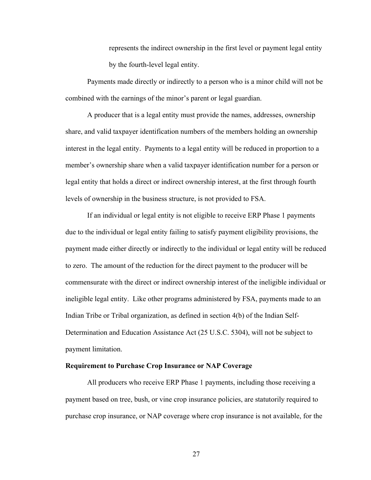represents the indirect ownership in the first level or payment legal entity by the fourth-level legal entity.

Payments made directly or indirectly to a person who is a minor child will not be combined with the earnings of the minor's parent or legal guardian.

A producer that is a legal entity must provide the names, addresses, ownership share, and valid taxpayer identification numbers of the members holding an ownership interest in the legal entity. Payments to a legal entity will be reduced in proportion to a member's ownership share when a valid taxpayer identification number for a person or legal entity that holds a direct or indirect ownership interest, at the first through fourth levels of ownership in the business structure, is not provided to FSA.

If an individual or legal entity is not eligible to receive ERP Phase 1 payments due to the individual or legal entity failing to satisfy payment eligibility provisions, the payment made either directly or indirectly to the individual or legal entity will be reduced to zero. The amount of the reduction for the direct payment to the producer will be commensurate with the direct or indirect ownership interest of the ineligible individual or ineligible legal entity. Like other programs administered by FSA, payments made to an Indian Tribe or Tribal organization, as defined in section 4(b) of the Indian Self-Determination and Education Assistance Act (25 U.S.C. 5304), will not be subject to payment limitation.

### **Requirement to Purchase Crop Insurance or NAP Coverage**

All producers who receive ERP Phase 1 payments, including those receiving a payment based on tree, bush, or vine crop insurance policies, are statutorily required to purchase crop insurance, or NAP coverage where crop insurance is not available, for the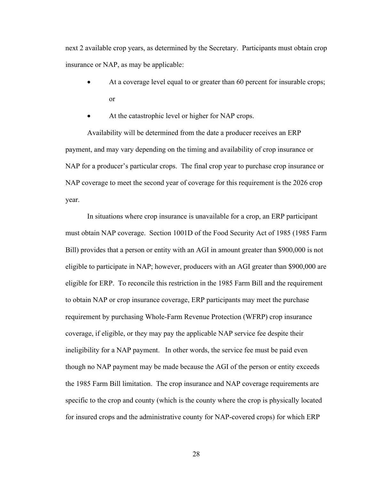next 2 available crop years, as determined by the Secretary. Participants must obtain crop insurance or NAP, as may be applicable:

- At a coverage level equal to or greater than 60 percent for insurable crops; or
- At the catastrophic level or higher for NAP crops.

Availability will be determined from the date a producer receives an ERP payment, and may vary depending on the timing and availability of crop insurance or NAP for a producer's particular crops. The final crop year to purchase crop insurance or NAP coverage to meet the second year of coverage for this requirement is the 2026 crop year.

In situations where crop insurance is unavailable for a crop, an ERP participant must obtain NAP coverage. Section 1001D of the Food Security Act of 1985 (1985 Farm Bill) provides that a person or entity with an AGI in amount greater than \$900,000 is not eligible to participate in NAP; however, producers with an AGI greater than \$900,000 are eligible for ERP. To reconcile this restriction in the 1985 Farm Bill and the requirement to obtain NAP or crop insurance coverage, ERP participants may meet the purchase requirement by purchasing Whole-Farm Revenue Protection (WFRP) crop insurance coverage, if eligible, or they may pay the applicable NAP service fee despite their ineligibility for a NAP payment. In other words, the service fee must be paid even though no NAP payment may be made because the AGI of the person or entity exceeds the 1985 Farm Bill limitation. The crop insurance and NAP coverage requirements are specific to the crop and county (which is the county where the crop is physically located for insured crops and the administrative county for NAP-covered crops) for which ERP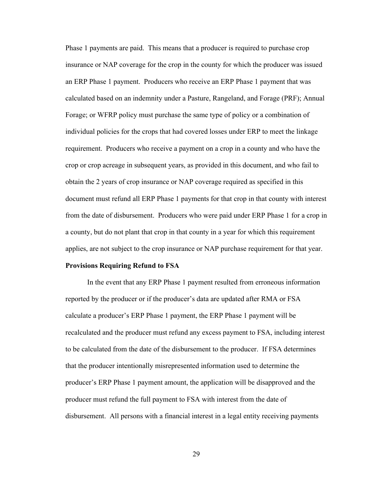Phase 1 payments are paid. This means that a producer is required to purchase crop insurance or NAP coverage for the crop in the county for which the producer was issued an ERP Phase 1 payment. Producers who receive an ERP Phase 1 payment that was calculated based on an indemnity under a Pasture, Rangeland, and Forage (PRF); Annual Forage; or WFRP policy must purchase the same type of policy or a combination of individual policies for the crops that had covered losses under ERP to meet the linkage requirement. Producers who receive a payment on a crop in a county and who have the crop or crop acreage in subsequent years, as provided in this document, and who fail to obtain the 2 years of crop insurance or NAP coverage required as specified in this document must refund all ERP Phase 1 payments for that crop in that county with interest from the date of disbursement. Producers who were paid under ERP Phase 1 for a crop in a county, but do not plant that crop in that county in a year for which this requirement applies, are not subject to the crop insurance or NAP purchase requirement for that year.

#### **Provisions Requiring Refund to FSA**

In the event that any ERP Phase 1 payment resulted from erroneous information reported by the producer or if the producer's data are updated after RMA or FSA calculate a producer's ERP Phase 1 payment, the ERP Phase 1 payment will be recalculated and the producer must refund any excess payment to FSA, including interest to be calculated from the date of the disbursement to the producer. If FSA determines that the producer intentionally misrepresented information used to determine the producer's ERP Phase 1 payment amount, the application will be disapproved and the producer must refund the full payment to FSA with interest from the date of disbursement. All persons with a financial interest in a legal entity receiving payments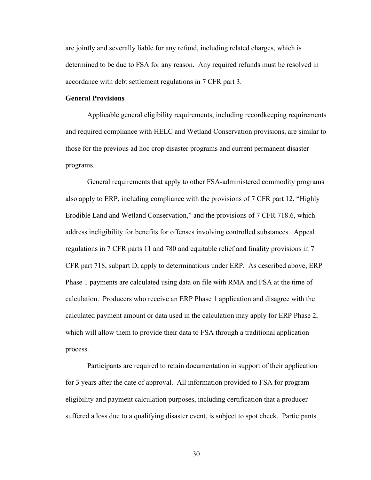are jointly and severally liable for any refund, including related charges, which is determined to be due to FSA for any reason. Any required refunds must be resolved in accordance with debt settlement regulations in 7 CFR part 3.

## **General Provisions**

Applicable general eligibility requirements, including recordkeeping requirements and required compliance with HELC and Wetland Conservation provisions, are similar to those for the previous ad hoc crop disaster programs and current permanent disaster programs.

General requirements that apply to other FSA-administered commodity programs also apply to ERP, including compliance with the provisions of 7 CFR part 12, "Highly Erodible Land and Wetland Conservation," and the provisions of 7 CFR 718.6, which address ineligibility for benefits for offenses involving controlled substances. Appeal regulations in 7 CFR parts 11 and 780 and equitable relief and finality provisions in 7 CFR part 718, subpart D, apply to determinations under ERP. As described above, ERP Phase 1 payments are calculated using data on file with RMA and FSA at the time of calculation. Producers who receive an ERP Phase 1 application and disagree with the calculated payment amount or data used in the calculation may apply for ERP Phase 2, which will allow them to provide their data to FSA through a traditional application process.

Participants are required to retain documentation in support of their application for 3 years after the date of approval. All information provided to FSA for program eligibility and payment calculation purposes, including certification that a producer suffered a loss due to a qualifying disaster event, is subject to spot check. Participants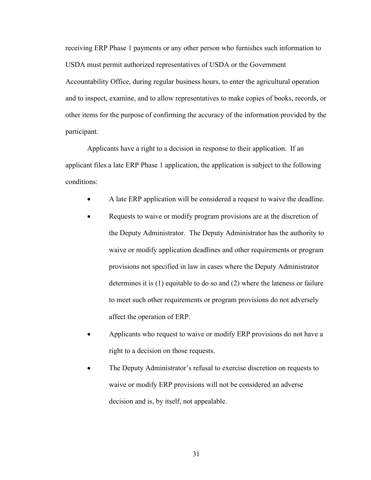receiving ERP Phase 1 payments or any other person who furnishes such information to USDA must permit authorized representatives of USDA or the Government Accountability Office, during regular business hours, to enter the agricultural operation and to inspect, examine, and to allow representatives to make copies of books, records, or other items for the purpose of confirming the accuracy of the information provided by the participant.

Applicants have a right to a decision in response to their application. If an applicant files a late ERP Phase 1 application, the application is subject to the following conditions:

- A late ERP application will be considered a request to waive the deadline.
- Requests to waive or modify program provisions are at the discretion of the Deputy Administrator. The Deputy Administrator has the authority to waive or modify application deadlines and other requirements or program provisions not specified in law in cases where the Deputy Administrator determines it is (1) equitable to do so and (2) where the lateness or failure to meet such other requirements or program provisions do not adversely affect the operation of ERP.
- Applicants who request to waive or modify ERP provisions do not have a right to a decision on those requests.
- The Deputy Administrator's refusal to exercise discretion on requests to waive or modify ERP provisions will not be considered an adverse decision and is, by itself, not appealable.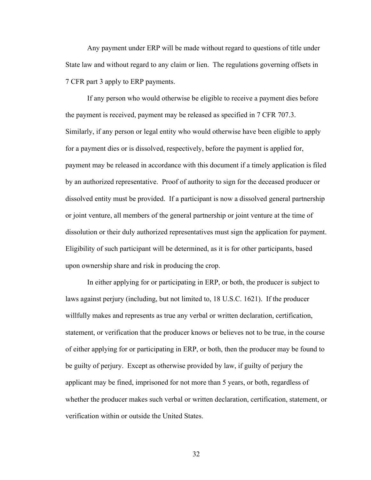Any payment under ERP will be made without regard to questions of title under State law and without regard to any claim or lien. The regulations governing offsets in 7 CFR part 3 apply to ERP payments.

If any person who would otherwise be eligible to receive a payment dies before the payment is received, payment may be released as specified in 7 CFR 707.3. Similarly, if any person or legal entity who would otherwise have been eligible to apply for a payment dies or is dissolved, respectively, before the payment is applied for, payment may be released in accordance with this document if a timely application is filed by an authorized representative. Proof of authority to sign for the deceased producer or dissolved entity must be provided. If a participant is now a dissolved general partnership or joint venture, all members of the general partnership or joint venture at the time of dissolution or their duly authorized representatives must sign the application for payment. Eligibility of such participant will be determined, as it is for other participants, based upon ownership share and risk in producing the crop.

In either applying for or participating in ERP, or both, the producer is subject to laws against perjury (including, but not limited to, 18 U.S.C. 1621). If the producer willfully makes and represents as true any verbal or written declaration, certification, statement, or verification that the producer knows or believes not to be true, in the course of either applying for or participating in ERP, or both, then the producer may be found to be guilty of perjury. Except as otherwise provided by law, if guilty of perjury the applicant may be fined, imprisoned for not more than 5 years, or both, regardless of whether the producer makes such verbal or written declaration, certification, statement, or verification within or outside the United States.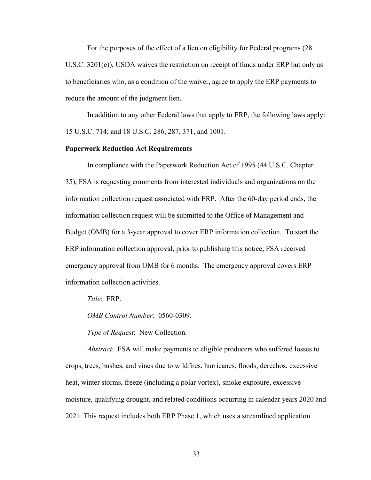For the purposes of the effect of a lien on eligibility for Federal programs (28 U.S.C. 3201(e)), USDA waives the restriction on receipt of funds under ERP but only as to beneficiaries who, as a condition of the waiver, agree to apply the ERP payments to reduce the amount of the judgment lien.

In addition to any other Federal laws that apply to ERP, the following laws apply: 15 U.S.C. 714; and 18 U.S.C. 286, 287, 371, and 1001.

## **Paperwork Reduction Act Requirements**

In compliance with the Paperwork Reduction Act of 1995 (44 U.S.C. Chapter 35), FSA is requesting comments from interested individuals and organizations on the information collection request associated with ERP. After the 60-day period ends, the information collection request will be submitted to the Office of Management and Budget (OMB) for a 3-year approval to cover ERP information collection. To start the ERP information collection approval, prior to publishing this notice, FSA received emergency approval from OMB for 6 months. The emergency approval covers ERP information collection activities.

*Title*: ERP.

*OMB Control Number*: 0560-0309.

*Type of Request*: New Collection.

*Abstract*: FSA will make payments to eligible producers who suffered losses to crops, trees, bushes, and vines due to wildfires, hurricanes, floods, derechos, excessive heat, winter storms, freeze (including a polar vortex), smoke exposure, excessive moisture, qualifying drought, and related conditions occurring in calendar years 2020 and 2021. This request includes both ERP Phase 1, which uses a streamlined application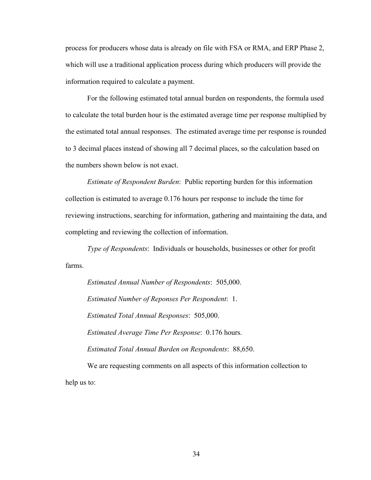process for producers whose data is already on file with FSA or RMA, and ERP Phase 2, which will use a traditional application process during which producers will provide the information required to calculate a payment.

For the following estimated total annual burden on respondents, the formula used to calculate the total burden hour is the estimated average time per response multiplied by the estimated total annual responses. The estimated average time per response is rounded to 3 decimal places instead of showing all 7 decimal places, so the calculation based on the numbers shown below is not exact.

*Estimate of Respondent Burden*: Public reporting burden for this information collection is estimated to average 0.176 hours per response to include the time for reviewing instructions, searching for information, gathering and maintaining the data, and completing and reviewing the collection of information.

*Type of Respondents*: Individuals or households, businesses or other for profit farms.

*Estimated Annual Number of Respondents*: 505,000. *Estimated Number of Reponses Per Respondent*: 1. *Estimated Total Annual Responses*: 505,000. *Estimated Average Time Per Response*: 0.176 hours. *Estimated Total Annual Burden on Respondents*: 88,650.

We are requesting comments on all aspects of this information collection to help us to: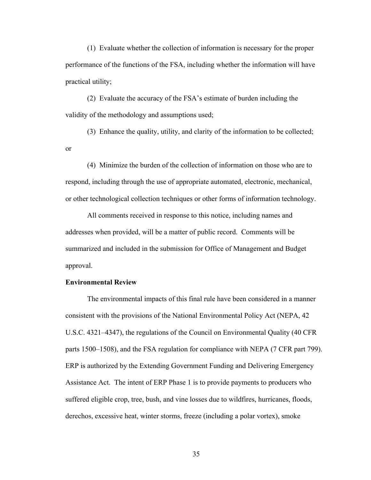(1) Evaluate whether the collection of information is necessary for the proper performance of the functions of the FSA, including whether the information will have practical utility;

(2) Evaluate the accuracy of the FSA's estimate of burden including the validity of the methodology and assumptions used;

(3) Enhance the quality, utility, and clarity of the information to be collected; or

(4) Minimize the burden of the collection of information on those who are to respond, including through the use of appropriate automated, electronic, mechanical, or other technological collection techniques or other forms of information technology.

All comments received in response to this notice, including names and addresses when provided, will be a matter of public record. Comments will be summarized and included in the submission for Office of Management and Budget approval.

## **Environmental Review**

The environmental impacts of this final rule have been considered in a manner consistent with the provisions of the National Environmental Policy Act (NEPA, 42 U.S.C. 4321–4347), the regulations of the Council on Environmental Quality (40 CFR parts 1500–1508), and the FSA regulation for compliance with NEPA (7 CFR part 799). ERP is authorized by the Extending Government Funding and Delivering Emergency Assistance Act. The intent of ERP Phase 1 is to provide payments to producers who suffered eligible crop, tree, bush, and vine losses due to wildfires, hurricanes, floods, derechos, excessive heat, winter storms, freeze (including a polar vortex), smoke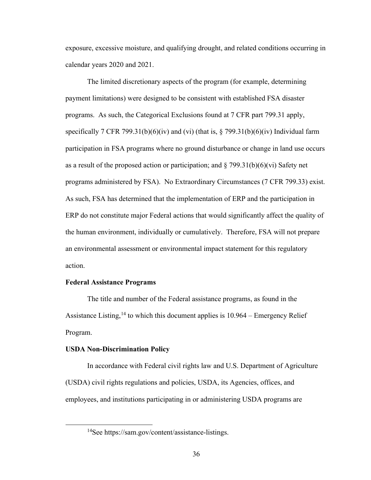exposure, excessive moisture, and qualifying drought, and related conditions occurring in calendar years 2020 and 2021.

The limited discretionary aspects of the program (for example, determining payment limitations) were designed to be consistent with established FSA disaster programs. As such, the Categorical Exclusions found at 7 CFR part 799.31 apply, specifically 7 CFR 799.31(b)(6)(iv) and (vi) (that is,  $\S$  799.31(b)(6)(iv) Individual farm participation in FSA programs where no ground disturbance or change in land use occurs as a result of the proposed action or participation; and  $\S 799.31(b)(6)(vi)$  Safety net programs administered by FSA). No Extraordinary Circumstances (7 CFR 799.33) exist. As such, FSA has determined that the implementation of ERP and the participation in ERP do not constitute major Federal actions that would significantly affect the quality of the human environment, individually or cumulatively. Therefore, FSA will not prepare an environmental assessment or environmental impact statement for this regulatory action.

#### **Federal Assistance Programs**

The title and number of the Federal assistance programs, as found in the Assistance Listing,<sup>[14](#page-35-0)</sup> to which this document applies is 10.964 – Emergency Relief Program.

#### **USDA Non-Discrimination Policy**

In accordance with Federal civil rights law and U.S. Department of Agriculture (USDA) civil rights regulations and policies, USDA, its Agencies, offices, and employees, and institutions participating in or administering USDA programs are

<span id="page-35-0"></span><sup>&</sup>lt;sup>14</sup>See https://sam.gov/content/assistance-listings.